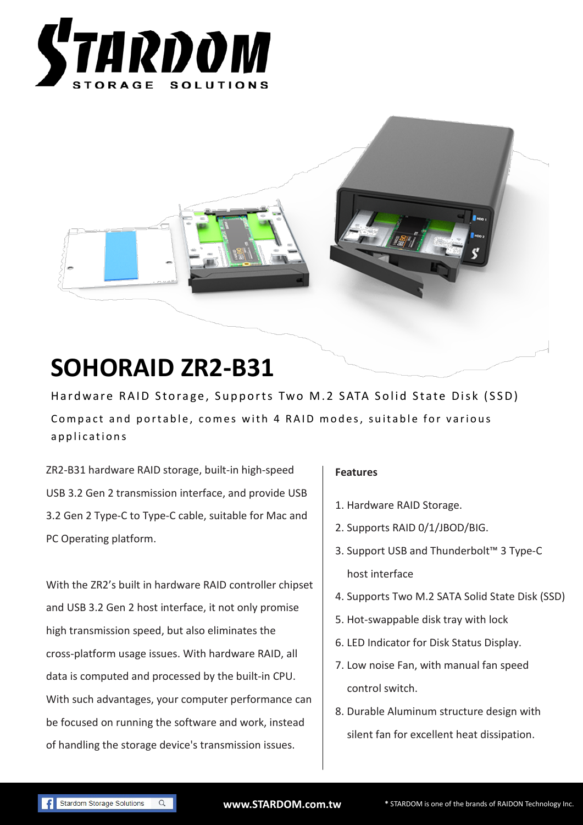



# **SOHORAID ZR2-B31**

Hardware RAID Storage, Supports Two M.2 SATA Solid State Disk (SSD) Compact and portable, comes with 4 RAID modes, suitable for various applications

ZR2-B31 hardware RAID storage, built-in high-speed USB 3.2 Gen 2 transmission interface, and provide USB 3.2 Gen 2 Type-C to Type-C cable, suitable for Mac and PC Operating platform.

With the ZR2's built in hardware RAID controller chipset and USB 3.2 Gen 2 host interface, it not only promise high transmission speed, but also eliminates the cross-platform usage issues. With hardware RAID, all data is computed and processed by the built-in CPU. With such advantages, your computer performance can be focused on running the software and work, instead of handling the storage device's transmission issues.

#### **Features**

- 1. Hardware RAID Storage.
- 2. Supports RAID 0/1/JBOD/BIG.
- 3. Support USB and Thunderbolt™ 3 Type-C host interface
- 4. Supports Two M.2 SATA Solid State Disk (SSD)
- 5. Hot-swappable disk tray with lock
- 6. LED Indicator for Disk Status Display.
- 7. Low noise Fan, with manual fan speed control switch.
- 8. Durable Aluminum structure design with silent fan for excellent heat dissipation.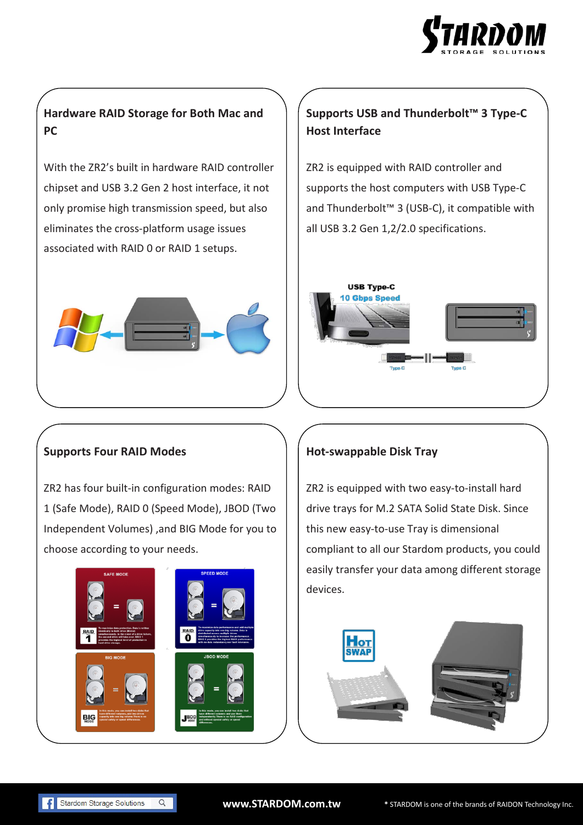

## **Hardware RAID Storage for Both Mac and PC**

With the ZR2's built in hardware RAID controller chipset and USB 3.2 Gen 2 host interface, it not only promise high transmission speed, but also eliminates the cross-platform usage issues associated with RAID 0 or RAID 1 setups.



# **Supports USB and Thunderbolt™ 3 Type-C Host Interface**

ZR2 is equipped with RAID controller and supports the host computers with USB Type-C and Thunderbolt™ 3 (USB-C), it compatible with all USB 3.2 Gen 1,2/2.0 specifications.



#### **Supports Four RAID Modes**

ZR2 has four built-in configuration modes: RAID 1 (Safe Mode), RAID 0 (Speed Mode), JBOD (Two Independent Volumes) ,and BIG Mode for you to choose according to your needs.



## **Hot-swappable Disk Tray**

ZR2 is equipped with two easy-to-install hard drive trays for M.2 SATA Solid State Disk. Since this new easy-to-use Tray is dimensional compliant to all our Stardom products, you could easily transfer your data among different storage devices.